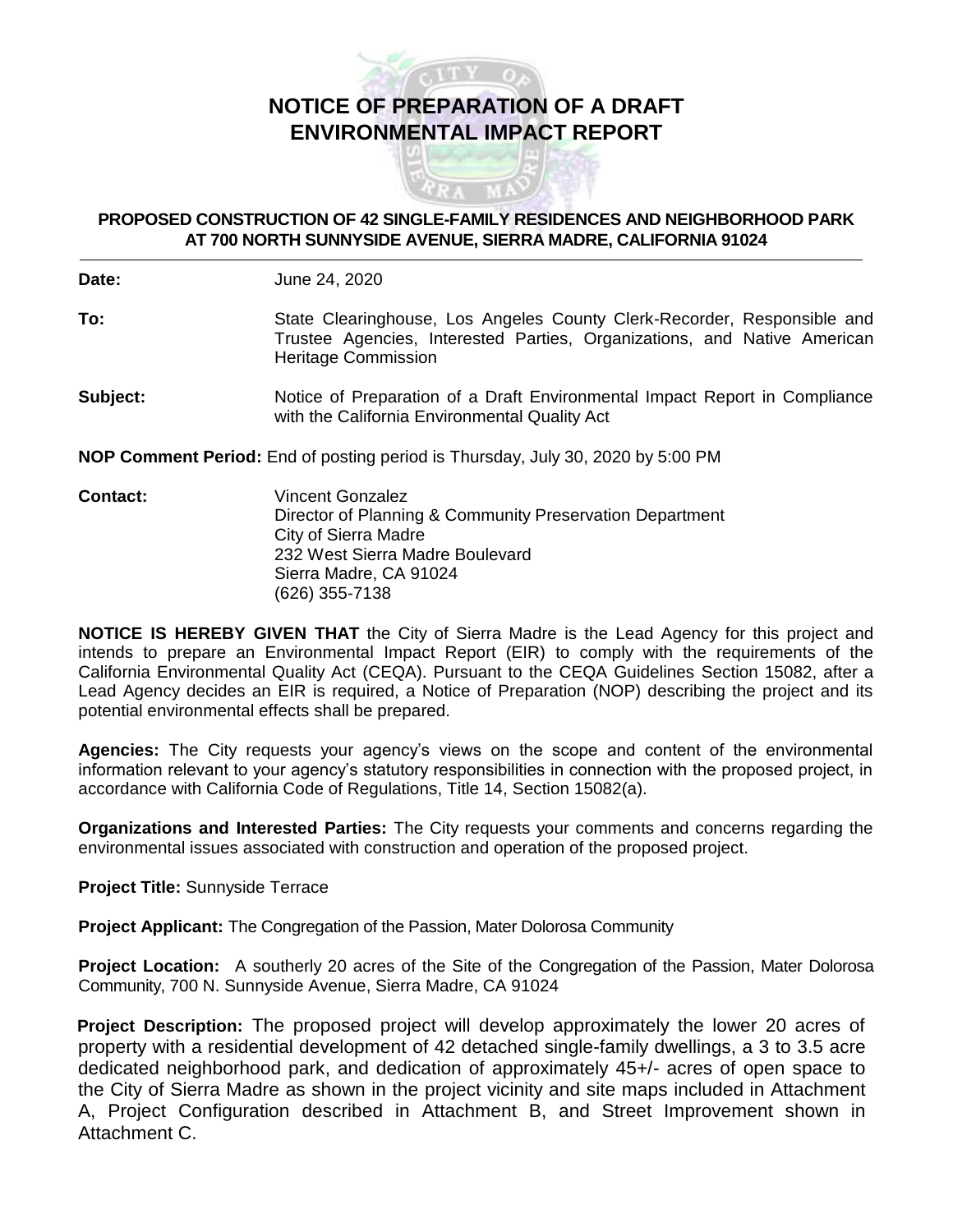

## **PROPOSED CONSTRUCTION OF 42 SINGLE-FAMILY RESIDENCES AND NEIGHBORHOOD PARK AT 700 NORTH SUNNYSIDE AVENUE, SIERRA MADRE, CALIFORNIA 91024**

**Date:** June 24, 2020

- **To:** State Clearinghouse, Los Angeles County Clerk-Recorder, Responsible and Trustee Agencies, Interested Parties, Organizations, and Native American Heritage Commission
- **Subject:** Notice of Preparation of a Draft Environmental Impact Report in Compliance with the California Environmental Quality Act

**NOP Comment Period:** End of posting period is Thursday, July 30, 2020 by 5:00 PM

**Contact:** Vincent Gonzalez Director of Planning & Community Preservation Department City of Sierra Madre 232 West Sierra Madre Boulevard Sierra Madre, CA 91024 (626) 355-7138

**NOTICE IS HEREBY GIVEN THAT** the City of Sierra Madre is the Lead Agency for this project and intends to prepare an Environmental Impact Report (EIR) to comply with the requirements of the California Environmental Quality Act (CEQA). Pursuant to the CEQA Guidelines Section 15082, after a Lead Agency decides an EIR is required, a Notice of Preparation (NOP) describing the project and its potential environmental effects shall be prepared.

**Agencies:** The City requests your agency's views on the scope and content of the environmental information relevant to your agency's statutory responsibilities in connection with the proposed project, in accordance with California Code of Regulations, Title 14, Section 15082(a).

**Organizations and Interested Parties:** The City requests your comments and concerns regarding the environmental issues associated with construction and operation of the proposed project.

**Project Title:** Sunnyside Terrace

**Project Applicant:** The Congregation of the Passion, Mater Dolorosa Community

**Project Location:** A southerly 20 acres of the Site of the Congregation of the Passion, Mater Dolorosa Community, 700 N. Sunnyside Avenue, Sierra Madre, CA 91024

**Project Description:** The proposed project will develop approximately the lower 20 acres of property with a residential development of 42 detached single-family dwellings, a 3 to 3.5 acre dedicated neighborhood park, and dedication of approximately 45+/- acres of open space to the City of Sierra Madre as shown in the project vicinity and site maps included in Attachment A, Project Configuration described in Attachment B, and Street Improvement shown in Attachment C.